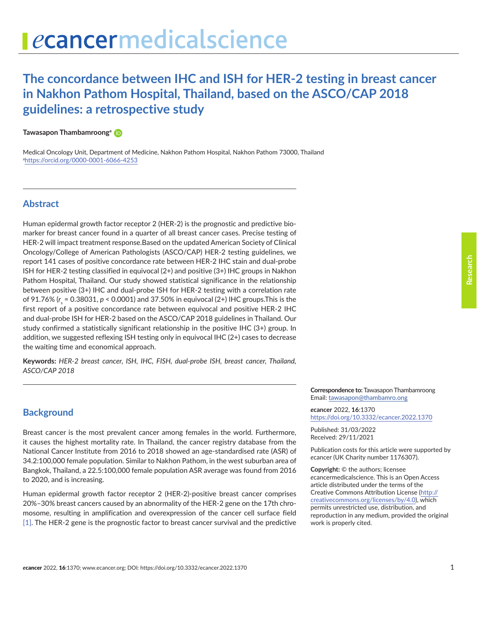# **The concordance between IHC and ISH for HER-2 testing in breast cancer in Nakhon Pathom Hospital, Thailand, based on the ASCO/CAP 2018 guidelines: a retrospective study**

#### **Tawasapon Thambamroonga**

Medical Oncology Unit, Department of Medicine, Nakhon Pathom Hospital, Nakhon Pathom 73000, Thailand a <https://orcid.org/0000-0001-6066-4253>

# **Abstract**

Human epidermal growth factor receptor 2 (HER-2) is the prognostic and predictive biomarker for breast cancer found in a quarter of all breast cancer cases. Precise testing of HER-2 will impact treatment response.Based on the updated American Society of Clinical Oncology/College of American Pathologists (ASCO/CAP) HER-2 testing guidelines, we report 141 cases of positive concordance rate between HER-2 IHC stain and dual-probe ISH for HER-2 testing classified in equivocal (2+) and positive (3+) IHC groups in Nakhon Pathom Hospital, Thailand. Our study showed statistical significance in the relationship between positive (3+) IHC and dual-probe ISH for HER-2 testing with a correlation rate of 91.76% (r<sub>s</sub> = 0.38031, p < 0.0001) and 37.50% in equivocal (2+) IHC groups.This is the first report of a positive concordance rate between equivocal and positive HER-2 IHC and dual-probe ISH for HER-2 based on the ASCO/CAP 2018 guidelines in Thailand. Our study confirmed a statistically significant relationship in the positive IHC (3+) group. In addition, we suggested reflexing ISH testing only in equivocal IHC (2+) cases to decrease the waiting time and economical approach.

**Keywords:** *HER-2 breast cancer, ISH, IHC, FISH, dual-probe ISH, breast cancer, Thailand, ASCO/CAP 2018*

#### **Background**

Breast cancer is the most prevalent cancer among females in the world. Furthermore, it causes the highest mortality rate. In Thailand, the cancer registry database from the National Cancer Institute from 2016 to 2018 showed an age-standardised rate (ASR) of 34.2:100,000 female population. Similar to Nakhon Pathom, in the west suburban area of Bangkok, Thailand, a 22.5:100,000 female population ASR average was found from 2016 to 2020, and is increasing.

Human epidermal growth factor receptor 2 (HER-2)-positive breast cancer comprises 20%–30% breast cancers caused by an abnormality of the HER-2 gene on the 17th chromosome, resulting in amplification and overexpression of the cancer cell surface field [\[1\].](#page-6-0) The HER-2 gene is the prognostic factor to breast cancer survival and the predictive

**Correspondence to:** Tawasapon Thambamroong Email: [tawasapon@thambamro.ong](mailto:tawasapon@thambamro.ong)

*e***cancer** 2022, **16**:1370 [https://doi.org/10.3332/ecancer.2022.137](https://doi.org/10.3332/ecancer.2022.1370)0

Published: 31/03/2022 Received: 29/11/2021

Publication costs for this article were supported by *e*cancer (UK Charity number 1176307).

**Copyright:** © the authors; licensee *e*cancermedicalscience. This is an Open Access article distributed under the terms of the Creative Commons Attribution License (http:// creativecommons.org/licenses/by/4.0), which permits unrestricted use, distribution, and reproduction in any medium, provided the original work is properly cited.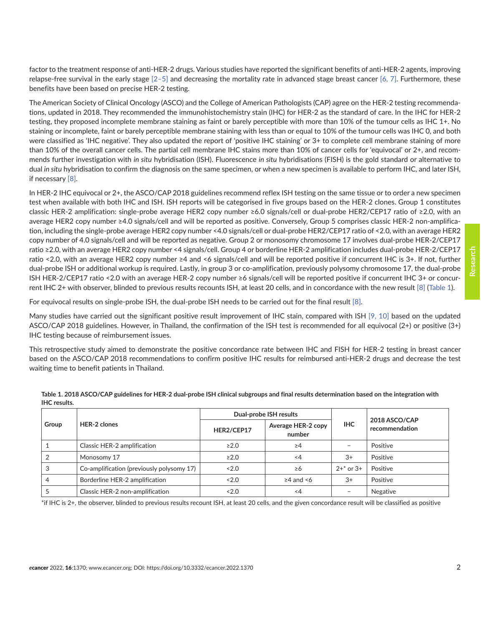factor to the treatment response of anti-HER-2 drugs. Various studies have reported the significant benefits of anti-HER-2 agents, improving relapse-free survival in the early stage  $[2-5]$  and decreasing the mortality rate in advanced stage breast cancer  $[6, 7]$ . Furthermore, these benefits have been based on precise HER-2 testing.

The American Society of Clinical Oncology (ASCO) and the College of American Pathologists (CAP) agree on the HER-2 testing recommendations, updated in 2018. They recommended the immunohistochemistry stain (IHC) for HER-2 as the standard of care. In the IHC for HER-2 testing, they proposed incomplete membrane staining as faint or barely perceptible with more than 10% of the tumour cells as IHC 1+. No staining or incomplete, faint or barely perceptible membrane staining with less than or equal to 10% of the tumour cells was IHC 0, and both were classified as 'IHC negative'. They also updated the report of 'positive IHC staining' or 3+ to complete cell membrane staining of more than 10% of the overall cancer cells. The partial cell membrane IHC stains more than 10% of cancer cells for 'equivocal' or 2+, and recommends further investigation with *in situ* hybridisation (ISH). Fluorescence *in situ* hybridisations (FISH) is the gold standard or alternative to dual *in situ* hybridisation to confirm the diagnosis on the same specimen, or when a new specimen is available to perform IHC, and later ISH, if necessary [\[8\]](#page-7-0).

In HER-2 IHC equivocal or 2+, the ASCO/CAP 2018 guidelines recommend reflex ISH testing on the same tissue or to order a new specimen test when available with both IHC and ISH. ISH reports will be categorised in five groups based on the HER-2 clones. Group 1 constitutes classic HER-2 amplification: single-probe average HER2 copy number ≥6.0 signals/cell or dual-probe HER2/CEP17 ratio of ≥2.0, with an average HER2 copy number ≥4.0 signals/cell and will be reported as positive. Conversely, Group 5 comprises classic HER-2 non-amplification, including the single-probe average HER2 copy number <4.0 signals/cell or dual-probe HER2/CEP17 ratio of <2.0, with an average HER2 copy number of 4.0 signals/cell and will be reported as negative. Group 2 or monosomy chromosome 17 involves dual-probe HER-2/CEP17 ratio ≥2.0, with an average HER2 copy number <4 signals/cell. Group 4 or borderline HER-2 amplification includes dual-probe HER-2/CEP17 ratio <2.0, with an average HER2 copy number ≥4 and <6 signals/cell and will be reported positive if concurrent IHC is 3+. If not, further dual-probe ISH or additional workup is required. Lastly, in group 3 or co-amplification, previously polysomy chromosome 17, the dual-probe ISH HER-2/CEP17 ratio <2.0 with an average HER-2 copy number ≥6 signals/cell will be reported positive if concurrent IHC 3+ or concurrent IHC 2+ with observer, blinded to previous results recounts ISH, at least 20 cells, and in concordance with the new result [\[8\]](#page-7-0) (Table 1).

For equivocal results on single-probe ISH, the dual-probe ISH needs to be carried out for the final result [\[8\].](#page-7-0)

Many studies have carried out the significant positive result improvement of IHC stain, compared with ISH [\[9,](#page-7-0) [10\]](#page-7-0) based on the updated ASCO/CAP 2018 guidelines. However, in Thailand, the confirmation of the ISH test is recommended for all equivocal (2+) or positive (3+) IHC testing because of reimbursement issues.

This retrospective study aimed to demonstrate the positive concordance rate between IHC and FISH for HER-2 testing in breast cancer based on the ASCO/CAP 2018 recommendations to confirm positive IHC results for reimbursed anti-HER-2 drugs and decrease the test waiting time to benefit patients in Thailand.

| Group | <b>HER-2 clones</b>                       |            | Dual-probe ISH results       | <b>IHC</b>               | 2018 ASCO/CAP<br>recommendation |
|-------|-------------------------------------------|------------|------------------------------|--------------------------|---------------------------------|
|       |                                           | HER2/CEP17 | Average HER-2 copy<br>number |                          |                                 |
|       | Classic HER-2 amplification               | $\geq 2.0$ | $\geq$ 4                     | $\overline{\phantom{0}}$ | Positive                        |
|       | Monosomy 17                               | $\geq$ 2.0 | -4                           | $3+$                     | Positive                        |
| 3     | Co-amplification (previously polysomy 17) | ~12.0      | $\geq 6$                     | $2^{+*}$ or $3^{+}$      | Positive                        |
| 4     | Borderline HER-2 amplification            | 2.0        | $\geq$ 4 and <6              | $3+$                     | Positive                        |
|       | Classic HER-2 non-amplification           | 2.0        | $\leq$ 4                     | $\overline{\phantom{a}}$ | Negative                        |

**Table 1. 2018 ASCO/CAP guidelines for HER-2 dual-probe ISH clinical subgroups and final results determination based on the integration with IHC results.**

\*if IHC is 2+, the observer, blinded to previous results recount ISH, at least 20 cells, and the given concordance result will be classified as positive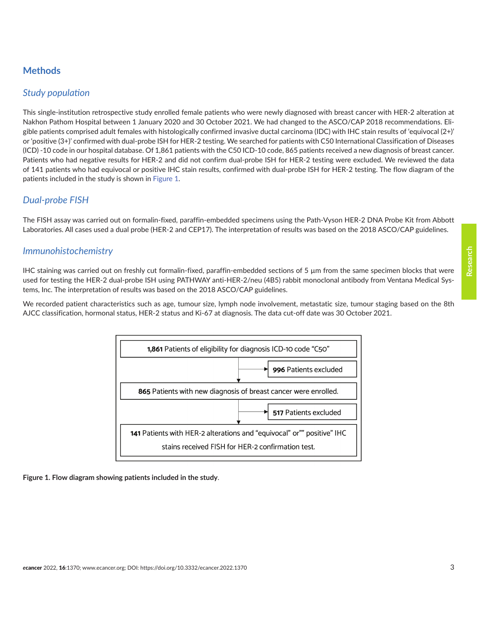# **Methods**

### *Study population*

This single-institution retrospective study enrolled female patients who were newly diagnosed with breast cancer with HER-2 alteration at Nakhon Pathom Hospital between 1 January 2020 and 30 October 2021. We had changed to the ASCO/CAP 2018 recommendations. Eligible patients comprised adult females with histologically confirmed invasive ductal carcinoma (IDC) with IHC stain results of 'equivocal (2+)' or 'positive (3+)' confirmed with dual-probe ISH for HER-2 testing. We searched for patients with C50 International Classification of Diseases (ICD) -10 code in our hospital database. Of 1,861 patients with the C50 ICD-10 code, 865 patients received a new diagnosis of breast cancer. Patients who had negative results for HER-2 and did not confirm dual-probe ISH for HER-2 testing were excluded. We reviewed the data of 141 patients who had equivocal or positive IHC stain results, confirmed with dual-probe ISH for HER-2 testing. The flow diagram of the patients included in the study is shown in Figure 1.

# *Dual-probe FISH*

The FISH assay was carried out on formalin-fixed, paraffin-embedded specimens using the Path-Vyson HER-2 DNA Probe Kit from Abbott Laboratories. All cases used a dual probe (HER-2 and CEP17). The interpretation of results was based on the 2018 ASCO/CAP guidelines.

#### *Immunohistochemistry*

IHC staining was carried out on freshly cut formalin-fixed, paraffin-embedded sections of 5 µm from the same specimen blocks that were used for testing the HER-2 dual-probe ISH using PATHWAY anti-HER-2/neu (4B5) rabbit monoclonal antibody from Ventana Medical Systems, Inc. The interpretation of results was based on the 2018 ASCO/CAP guidelines.

We recorded patient characteristics such as age, tumour size, lymph node involvement, metastatic size, tumour staging based on the 8th AJCC classification, hormonal status, HER-2 status and Ki-67 at diagnosis. The data cut-off date was 30 October 2021.



**Figure 1. Flow diagram showing patients included in the study**.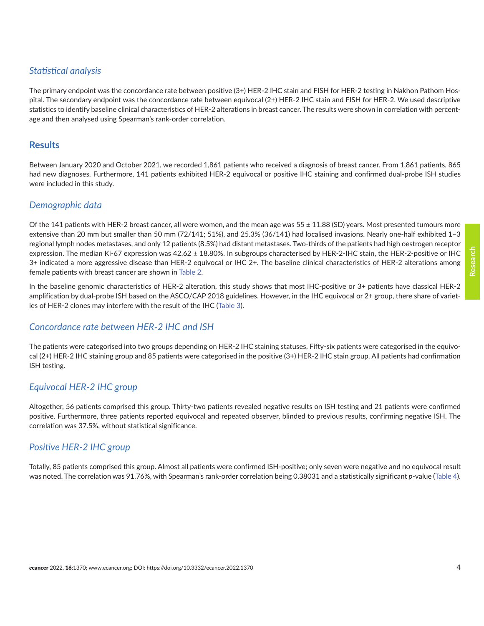# *Statistical analysis*

The primary endpoint was the concordance rate between positive (3+) HER-2 IHC stain and FISH for HER-2 testing in Nakhon Pathom Hospital. The secondary endpoint was the concordance rate between equivocal (2+) HER-2 IHC stain and FISH for HER-2. We used descriptive statistics to identify baseline clinical characteristics of HER-2 alterations in breast cancer. The results were shown in correlation with percentage and then analysed using Spearman's rank-order correlation.

### **Results**

Between January 2020 and October 2021, we recorded 1,861 patients who received a diagnosis of breast cancer. From 1,861 patients, 865 had new diagnoses. Furthermore, 141 patients exhibited HER-2 equivocal or positive IHC staining and confirmed dual-probe ISH studies were included in this study.

# *Demographic data*

Of the 141 patients with HER-2 breast cancer, all were women, and the mean age was  $55 \pm 11.88$  (SD) years. Most presented tumours more extensive than 20 mm but smaller than 50 mm (72/141; 51%), and 25.3% (36/141) had localised invasions. Nearly one-half exhibited 1–3 regional lymph nodes metastases, and only 12 patients (8.5%) had distant metastases. Two-thirds of the patients had high oestrogen receptor expression. The median Ki-67 expression was 42.62 ± 18.80%. In subgroups characterised by HER-2-IHC stain, the HER-2-positive or IHC 3+ indicated a more aggressive disease than HER-2 equivocal or IHC 2+. The baseline clinical characteristics of HER-2 alterations among female patients with breast cancer are shown in [Table 2.](#page-4-0)

In the baseline genomic characteristics of HER-2 alteration, this study shows that most IHC-positive or 3+ patients have classical HER-2 amplification by dual-probe ISH based on the ASCO/CAP 2018 guidelines. However, in the IHC equivocal or 2+ group, there share of varieties of HER-2 clones may interfere with the result of the IHC [\(Table 3](#page-4-0)).

### *Concordance rate between HER-2 IHC and ISH*

The patients were categorised into two groups depending on HER-2 IHC staining statuses. Fifty-six patients were categorised in the equivocal (2+) HER-2 IHC staining group and 85 patients were categorised in the positive (3+) HER-2 IHC stain group. All patients had confirmation ISH testing.

# *Equivocal HER-2 IHC group*

Altogether, 56 patients comprised this group. Thirty-two patients revealed negative results on ISH testing and 21 patients were confirmed positive. Furthermore, three patients reported equivocal and repeated observer, blinded to previous results, confirming negative ISH. The correlation was 37.5%, without statistical significance.

# *Positive HER-2 IHC group*

Totally, 85 patients comprised this group. Almost all patients were confirmed ISH-positive; only seven were negative and no equivocal result was noted. The correlation was 91.76%, with Spearman's rank-order correlation being 0.38031 and a statistically significant *p*-value ([Table 4](#page-5-0)).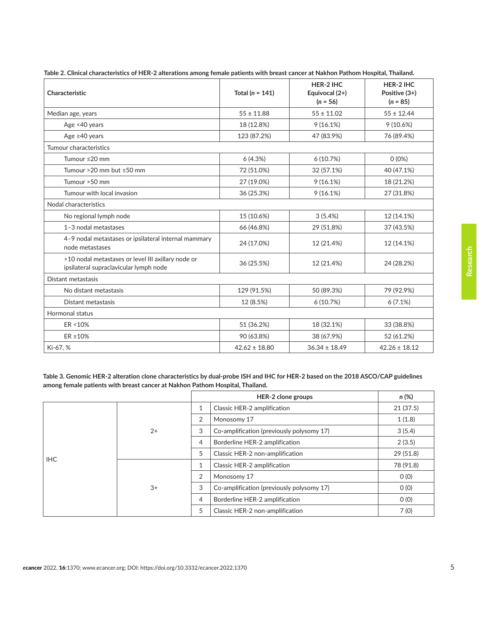| Characteristic                                                                               | Total ( $n = 141$ ) | HER-2 IHC<br>Equivocal (2+)<br>$(n = 56)$ | HER-2 IHC<br>Positive $(3+)$<br>$(n = 85)$ |
|----------------------------------------------------------------------------------------------|---------------------|-------------------------------------------|--------------------------------------------|
| Median age, years                                                                            | $55 \pm 11.88$      | $55 \pm 11.02$                            | $55 \pm 12.44$                             |
| Age <40 years                                                                                | 18 (12.8%)          | 9(16.1%)                                  | 9(10.6%)                                   |
| Age $\geq 40$ years                                                                          | 123 (87.2%)         | 47 (83.9%)                                | 76 (89.4%)                                 |
| Tumour characteristics                                                                       |                     |                                           |                                            |
| Tumour ≤20 mm                                                                                | 6(4.3%)             | 6(10.7%)                                  | $0(0\%)$                                   |
| Tumour >20 mm but ≤50 mm                                                                     | 72 (51.0%)          | 32 (57.1%)                                | 40 (47.1%)                                 |
| Tumour > 50 mm                                                                               | 27 (19.0%)          | 9(16.1%)                                  | 18 (21.2%)                                 |
| Tumour with local invasion                                                                   | 36 (25.3%)          | 9(16.1%)                                  | 27 (31.8%)                                 |
| Nodal characteristics                                                                        |                     |                                           |                                            |
| No regional lymph node                                                                       | 15 (10.6%)          | 3(5.4%)                                   | 12 (14.1%)                                 |
| 1-3 nodal metastases                                                                         | 66 (46.8%)          | 29 (51.8%)                                | 37 (43.5%)                                 |
| 4-9 nodal metastases or ipsilateral internal mammary<br>node metastases                      | 24 (17.0%)          | 12 (21.4%)                                | 12 (14.1%)                                 |
| >10 nodal metastases or level III axillary node or<br>ipsilateral supraclavicular lymph node | 36 (25.5%)          | 12 (21.4%)                                | 24 (28.2%)                                 |
| Distant metastasis                                                                           |                     |                                           |                                            |
| No distant metastasis                                                                        | 129 (91.5%)         | 50 (89.3%)                                | 79 (92.9%)                                 |
| Distant metastasis                                                                           | 12 (8.5%)           | 6(10.7%)                                  | 6(7.1%)                                    |
| Hormonal status                                                                              |                     |                                           |                                            |
| ER <10%                                                                                      | 51 (36.2%)          | 18 (32.1%)                                | 33 (38.8%)                                 |
| ER ≥10%                                                                                      | 90 (63.8%)          | 38 (67.9%)                                | 52 (61.2%)                                 |
| Ki-67, %                                                                                     | $42.62 \pm 18.80$   | $36.34 \pm 18.49$                         | $42.26 \pm 18.12$                          |

<span id="page-4-0"></span>**Table 2. Clinical characteristics of HER-2 alterations among female patients with breast cancer at Nakhon Pathom Hospital, Thailand.**

**Table 3. Genomic HER-2 alteration clone characteristics by dual-probe ISH and IHC for HER-2 based on the 2018 ASCO/CAP guidelines among female patients with breast cancer at Nakhon Pathom Hospital, Thailand.**

|            |      |                | HER-2 clone groups                        | n (%)     |
|------------|------|----------------|-------------------------------------------|-----------|
|            | $2+$ | $\mathbf{1}$   | Classic HER-2 amplification               | 21(37.5)  |
|            |      | $\overline{2}$ | Monosomy 17                               | 1(1.8)    |
|            |      | 3              | Co-amplification (previously polysomy 17) | 3(5.4)    |
|            |      | $\overline{4}$ | Borderline HER-2 amplification            | 2(3.5)    |
| <b>IHC</b> |      | 5              | Classic HER-2 non-amplification           | 29(51.8)  |
|            |      | $\mathbf{1}$   | Classic HER-2 amplification               | 78 (91.8) |
|            |      | 2              | Monosomy 17                               | O(0)      |
|            | $3+$ | 3              | Co-amplification (previously polysomy 17) | O(0)      |
|            |      | 4              | Borderline HER-2 amplification            | O(0)      |
|            |      | 5              | Classic HER-2 non-amplification           | 7(0)      |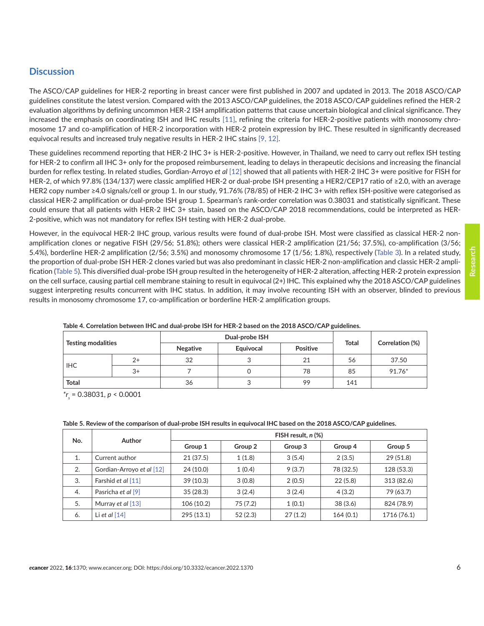# <span id="page-5-0"></span>**Discussion**

The ASCO/CAP guidelines for HER-2 reporting in breast cancer were first published in 2007 and updated in 2013. The 2018 ASCO/CAP guidelines constitute the latest version. Compared with the 2013 ASCO/CAP guidelines, the 2018 ASCO/CAP guidelines refined the HER-2 evaluation algorithms by defining uncommon HER-2 ISH amplification patterns that cause uncertain biological and clinical significance. They increased the emphasis on coordinating ISH and IHC results [\[11\],](#page-7-0) refining the criteria for HER-2-positive patients with monosomy chromosome 17 and co-amplification of HER-2 incorporation with HER-2 protein expression by IHC. These resulted in significantly decreased equivocal results and increased truly negative results in HER-2 IHC stains [\[9, 12\]](#page-7-0).

These guidelines recommend reporting that HER-2 IHC 3+ is HER-2-positive. However, in Thailand, we need to carry out reflex ISH testing for HER-2 to confirm all IHC 3+ only for the proposed reimbursement, leading to delays in therapeutic decisions and increasing the financial burden for reflex testing. In related studies, Gordian-Arroyo *et al* [\[12\]](#page-7-0) showed that all patients with HER-2 IHC 3+ were positive for FISH for HER-2, of which 97.8% (134/137) were classic amplified HER-2 or dual-probe ISH presenting a HER2/CEP17 ratio of ≥2.0, with an average HER2 copy number ≥4.0 signals/cell or group 1. In our study, 91.76% (78/85) of HER-2 IHC 3+ with reflex ISH-positive were categorised as classical HER-2 amplification or dual-probe ISH group 1. Spearman's rank-order correlation was 0.38031 and statistically significant. These could ensure that all patients with HER-2 IHC 3+ stain, based on the ASCO/CAP 2018 recommendations, could be interpreted as HER-2-positive, which was not mandatory for reflex ISH testing with HER-2 dual-probe.

However, in the equivocal HER-2 IHC group, various results were found of dual-probe ISH. Most were classified as classical HER-2 nonamplification clones or negative FISH (29/56; 51.8%); others were classical HER-2 amplification (21/56; 37.5%), co-amplification (3/56; 5.4%), borderline HER-2 amplification (2/56; 3.5%) and monosomy chromosome 17 (1/56; 1.8%), respectively ([Table 3](#page-4-0)). In a related study, the proportion of dual-probe ISH HER-2 clones varied but was also predominant in classic HER-2 non-amplification and classic HER-2 amplification (Table 5). This diversified dual-probe ISH group resulted in the heterogeneity of HER-2 alteration, affecting HER-2 protein expression on the cell surface, causing partial cell membrane staining to result in equivocal (2+) IHC. This explained why the 2018 ASCO/CAP guidelines suggest interpreting results concurrent with IHC status. In addition, it may involve recounting ISH with an observer, blinded to previous results in monosomy chromosome 17, co-amplification or borderline HER-2 amplification groups.

| <b>Testing modalities</b> |      |          | Dual-probe ISH |          |              |                 |
|---------------------------|------|----------|----------------|----------|--------------|-----------------|
|                           |      | Negative | Equivocal      | Positive | <b>Total</b> | Correlation (%) |
| IHC.                      | $2+$ | 32       |                | 21       | 56           | 37.50           |
|                           | $3+$ |          |                | 78       | 85           | 91.76*          |
| <b>Total</b>              |      | 36       |                | 99       | 141          |                 |

**Table 4. Correlation between IHC and dual-probe ISH for HER-2 based on the 2018 ASCO/CAP guidelines.**

*\*rs* = 0.38031, *p* < 0.0001

| No. | <b>Author</b>                          | FISH result, n (%) |         |         |           |             |  |
|-----|----------------------------------------|--------------------|---------|---------|-----------|-------------|--|
|     |                                        | Group 1            | Group 2 | Group 3 | Group 4   | Group 5     |  |
| 1.  | Current author                         | 21(37.5)           | 1(1.8)  | 3(5.4)  | 2(3.5)    | 29(51.8)    |  |
| 2.  | Gordian-Arroyo et al [12]              | 24 (10.0)          | 1(0.4)  | 9(3.7)  | 78 (32.5) | 128 (53.3)  |  |
| 3.  | Farshid et al [11]                     | 39(10.3)           | 3(0.8)  | 2(0.5)  | 22(5.8)   | 313 (82.6)  |  |
| 4.  | Pasricha et al [9]                     | 35(28.3)           | 3(2.4)  | 3(2.4)  | 4(3.2)    | 79 (63.7)   |  |
| 5.  | Murray <i>et al</i> $\lceil 13 \rceil$ | 106 (10.2)         | 75(7.2) | 1(0.1)  | 38(3.6)   | 824 (78.9)  |  |
| 6.  | Li et al $[14]$                        | 295 (13.1)         | 52(2.3) | 27(1.2) | 164(0.1)  | 1716 (76.1) |  |

| Table 5. Review of the comparison of dual-probe ISH results in equivocal IHC based on the 2018 ASCO/CAP guidelines. |  |  |
|---------------------------------------------------------------------------------------------------------------------|--|--|
|                                                                                                                     |  |  |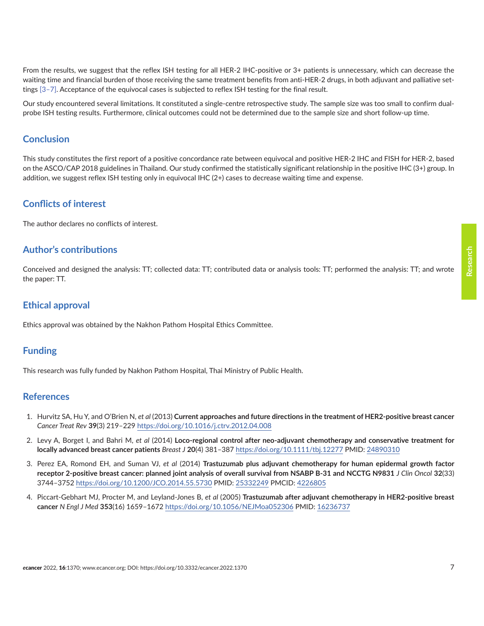<span id="page-6-0"></span>From the results, we suggest that the reflex ISH testing for all HER-2 IHC-positive or 3+ patients is unnecessary, which can decrease the waiting time and financial burden of those receiving the same treatment benefits from anti-HER-2 drugs, in both adjuvant and palliative settings [3[–7\]](#page-7-0). Acceptance of the equivocal cases is subjected to reflex ISH testing for the final result.

Our study encountered several limitations. It constituted a single-centre retrospective study. The sample size was too small to confirm dualprobe ISH testing results. Furthermore, clinical outcomes could not be determined due to the sample size and short follow-up time.

#### **Conclusion**

This study constitutes the first report of a positive concordance rate between equivocal and positive HER-2 IHC and FISH for HER-2, based on the ASCO/CAP 2018 guidelines in Thailand. Our study confirmed the statistically significant relationship in the positive IHC (3+) group. In addition, we suggest reflex ISH testing only in equivocal IHC (2+) cases to decrease waiting time and expense.

### **Conflicts of interest**

The author declares no conflicts of interest.

#### **Author's contributions**

Conceived and designed the analysis: TT; collected data: TT; contributed data or analysis tools: TT; performed the analysis: TT; and wrote the paper: TT.

#### **Ethical approval**

Ethics approval was obtained by the Nakhon Pathom Hospital Ethics Committee.

### **Funding**

This research was fully funded by Nakhon Pathom Hospital, Thai Ministry of Public Health.

#### **References**

- 1. Hurvitz SA, Hu Y, and O'Brien N, *et al* (2013) **Current approaches and future directions in the treatment of HER2-positive breast cancer** *Cancer Treat Rev* **39**(3) 219–229 <https://doi.org/10.1016/j.ctrv.2012.04.008>
- 2. Levy A, Borget I, and Bahri M, *et al* (2014) **Loco-regional control after neo-adjuvant chemotherapy and conservative treatment for locally advanced breast cancer patients** *Breast J* **20**(4) 381–387<https://doi.org/10.1111/tbj.12277> PMID: [24890310](http://www.ncbi.nlm.nih.gov/pubmed/24890310)
- 3. Perez EA, Romond EH, and Suman VJ, *et al* (2014) **Trastuzumab plus adjuvant chemotherapy for human epidermal growth factor receptor 2-positive breast cancer: planned joint analysis of overall survival from NSABP B-31 and NCCTG N9831** *J Clin Oncol* **32**(33) 3744–3752<https://doi.org/10.1200/JCO.2014.55.5730> PMID: [25332249](http://www.ncbi.nlm.nih.gov/pubmed/25332249) PMCID: [4226805](http://www.ncbi.nlm.nih.gov/pmc/articles/PMC4226805)
- 4. Piccart-Gebhart MJ, Procter M, and Leyland-Jones B, *et al* (2005) **Trastuzumab after adjuvant chemotherapy in HER2-positive breast cancer** *N Engl J Med* **353**(16) 1659–1672<https://doi.org/10.1056/NEJMoa052306> PMID: [16236737](http://www.ncbi.nlm.nih.gov/pubmed/16236737)